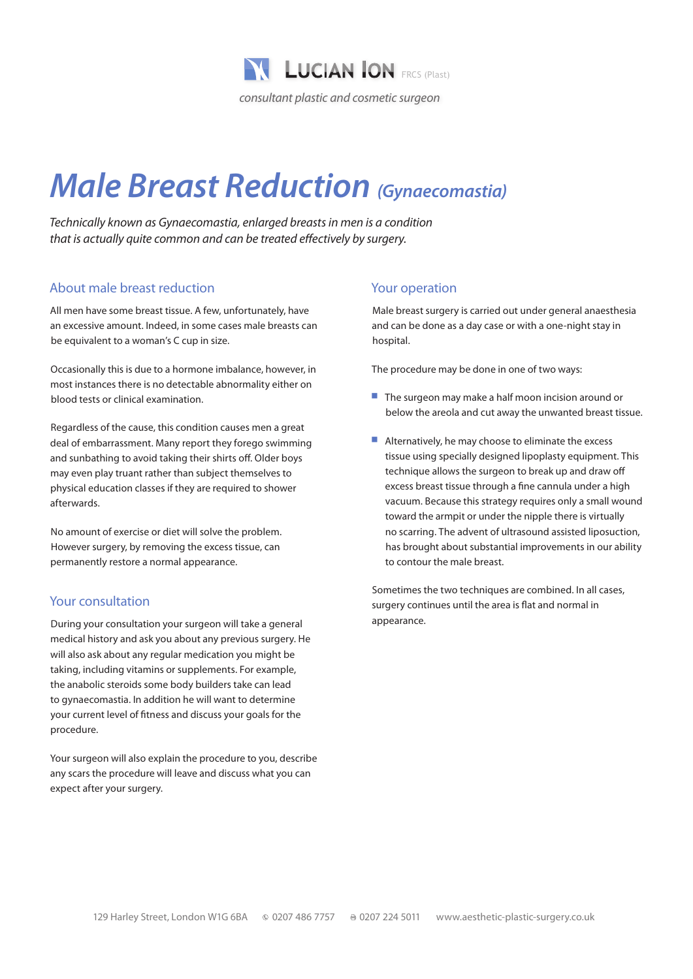

# *Male Breast Reduction (Gynaecomastia)*

*Technically known as Gynaecomastia, enlarged breasts in men is a condition that is actually quite common and can be treated effectively by surgery.*

### About male breast reduction

All men have some breast tissue. A few, unfortunately, have an excessive amount. Indeed, in some cases male breasts can be equivalent to a woman's C cup in size.

Occasionally this is due to a hormone imbalance, however, in most instances there is no detectable abnormality either on blood tests or clinical examination.

Regardless of the cause, this condition causes men a great deal of embarrassment. Many report they forego swimming and sunbathing to avoid taking their shirts off. Older boys may even play truant rather than subject themselves to physical education classes if they are required to shower afterwards.

No amount of exercise or diet will solve the problem. However surgery, by removing the excess tissue, can permanently restore a normal appearance.

#### Your consultation

During your consultation your surgeon will take a general medical history and ask you about any previous surgery. He will also ask about any regular medication you might be taking, including vitamins or supplements. For example, the anabolic steroids some body builders take can lead to gynaecomastia. In addition he will want to determine your current level of fitness and discuss your goals for the procedure.

Your surgeon will also explain the procedure to you, describe any scars the procedure will leave and discuss what you can expect after your surgery.

#### Your operation

Male breast surgery is carried out under general anaesthesia and can be done as a day case or with a one-night stay in hospital.

The procedure may be done in one of two ways:

- $\blacksquare$  The surgeon may make a half moon incision around or below the areola and cut away the unwanted breast tissue.
- $\blacksquare$  Alternatively, he may choose to eliminate the excess tissue using specially designed lipoplasty equipment. This technique allows the surgeon to break up and draw off excess breast tissue through a fine cannula under a high vacuum. Because this strategy requires only a small wound toward the armpit or under the nipple there is virtually no scarring. The advent of ultrasound assisted liposuction, has brought about substantial improvements in our ability to contour the male breast.

Sometimes the two techniques are combined. In all cases, surgery continues until the area is flat and normal in appearance.